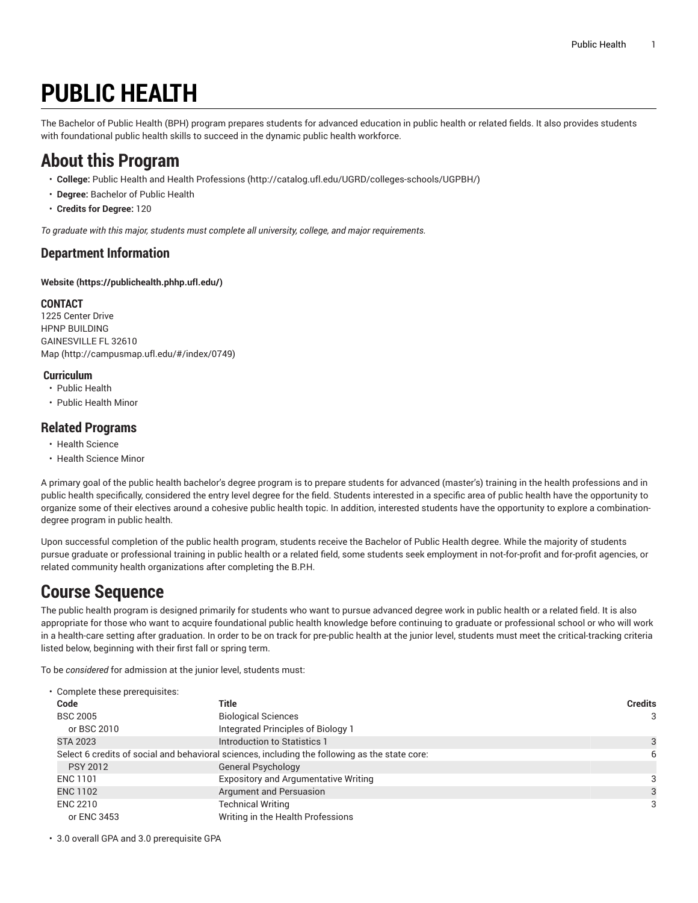# **PUBLIC HEALTH**

The Bachelor of Public Health (BPH) program prepares students for advanced education in public health or related fields. It also provides students with foundational public health skills to succeed in the dynamic public health workforce.

# **About this Program**

- **College:** Public Health and Health [Professions](http://catalog.ufl.edu/UGRD/colleges-schools/UGPBH/) ([http://catalog.ufl.edu/UGRD/colleges-schools/UGPBH/\)](http://catalog.ufl.edu/UGRD/colleges-schools/UGPBH/)
- **Degree:** Bachelor of Public Health
- **Credits for Degree:** 120

*To graduate with this major, students must complete all university, college, and major requirements.*

#### **Department Information**

**[Website](https://publichealth.phhp.ufl.edu/) ([https://publichealth.phhp.ufl.edu/\)](https://publichealth.phhp.ufl.edu/)**

#### **CONTACT**

1225 Center Drive HPNP BUILDING GAINESVILLE FL 32610 [Map](http://campusmap.ufl.edu/#/index/0749) ([http://campusmap.ufl.edu/#/index/0749\)](http://campusmap.ufl.edu/#/index/0749)

#### **Curriculum**

- Public Health
- Public Health Minor

#### **Related Programs**

- Health Science
- Health Science Minor

A primary goal of the public health bachelor's degree program is to prepare students for advanced (master's) training in the health professions and in public health specifically, considered the entry level degree for the field. Students interested in a specific area of public health have the opportunity to organize some of their electives around a cohesive public health topic. In addition, interested students have the opportunity to explore a combinationdegree program in public health.

Upon successful completion of the public health program, students receive the Bachelor of Public Health degree. While the majority of students pursue graduate or professional training in public health or a related field, some students seek employment in not-for-profit and for-profit agencies, or related community health organizations after completing the B.P.H.

# **Course Sequence**

The public health program is designed primarily for students who want to pursue advanced degree work in public health or a related field. It is also appropriate for those who want to acquire foundational public health knowledge before continuing to graduate or professional school or who will work in a health-care setting after graduation. In order to be on track for pre-public health at the junior level, students must meet the critical-tracking criteria listed below, beginning with their first fall or spring term.

To be *considered* for admission at the junior level, students must:

| • Complete these prerequisites:                                                                |                                             |   |  |  |
|------------------------------------------------------------------------------------------------|---------------------------------------------|---|--|--|
| Code                                                                                           | Title                                       |   |  |  |
| <b>BSC 2005</b>                                                                                | <b>Biological Sciences</b>                  | 3 |  |  |
| or BSC 2010                                                                                    | Integrated Principles of Biology 1          |   |  |  |
| <b>STA 2023</b>                                                                                | Introduction to Statistics 1                |   |  |  |
| Select 6 credits of social and behavioral sciences, including the following as the state core: | 6                                           |   |  |  |
| <b>PSY 2012</b>                                                                                | <b>General Psychology</b>                   |   |  |  |
| ENC 1101                                                                                       | <b>Expository and Argumentative Writing</b> |   |  |  |
| <b>ENC 1102</b>                                                                                | Argument and Persuasion                     |   |  |  |
| <b>ENC 2210</b>                                                                                | <b>Technical Writing</b>                    | 3 |  |  |
| or ENC 3453                                                                                    | Writing in the Health Professions           |   |  |  |

• 3.0 overall GPA and 3.0 prerequisite GPA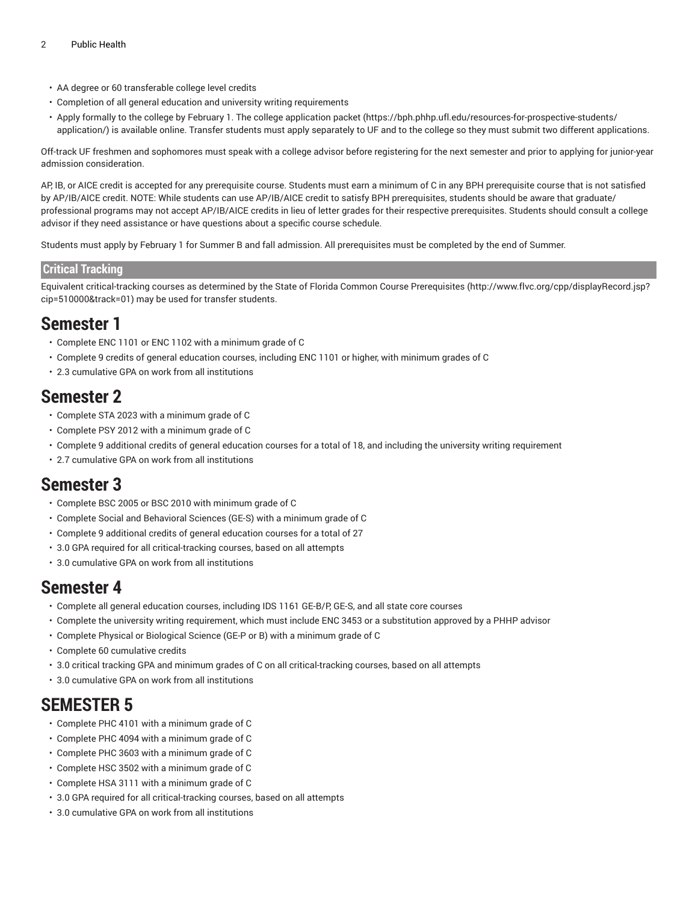- AA degree or 60 transferable college level credits
- Completion of all general education and university writing requirements
- Apply formally to the college by February 1. The college [application](https://bph.phhp.ufl.edu/resources-for-prospective-students/application/) packet [\(https://bph.phhp.ufl.edu/resources-for-prospective-students/](https://bph.phhp.ufl.edu/resources-for-prospective-students/application/) [application/](https://bph.phhp.ufl.edu/resources-for-prospective-students/application/)) is available online. Transfer students must apply separately to UF and to the college so they must submit two different applications.

Off-track UF freshmen and sophomores must speak with a college advisor before registering for the next semester and prior to applying for junior-year admission consideration.

AP, IB, or AICE credit is accepted for any prerequisite course. Students must earn a minimum of C in any BPH prerequisite course that is not satisfied by AP/IB/AICE credit. NOTE: While students can use AP/IB/AICE credit to satisfy BPH prerequisites, students should be aware that graduate/ professional programs may not accept AP/IB/AICE credits in lieu of letter grades for their respective prerequisites. Students should consult a college advisor if they need assistance or have questions about a specific course schedule.

Students must apply by February 1 for Summer B and fall admission. All prerequisites must be completed by the end of Summer.

#### **Critical Tracking**

Equivalent critical-tracking courses as determined by the State of Florida Common Course [Prerequisites](http://www.flvc.org/cpp/displayRecord.jsp?cip=510000&track=01) ([http://www.flvc.org/cpp/displayRecord.jsp?](http://www.flvc.org/cpp/displayRecord.jsp?cip=510000&track=01) [cip=510000&track=01](http://www.flvc.org/cpp/displayRecord.jsp?cip=510000&track=01)) may be used for transfer students.

### **Semester 1**

- Complete ENC 1101 or ENC 1102 with a minimum grade of C
- Complete 9 credits of general education courses, including ENC 1101 or higher, with minimum grades of C
- 2.3 cumulative GPA on work from all institutions

### **Semester 2**

- Complete STA 2023 with a minimum grade of C
- Complete PSY 2012 with a minimum grade of C
- Complete 9 additional credits of general education courses for a total of 18, and including the university writing requirement
- 2.7 cumulative GPA on work from all institutions

### **Semester 3**

- Complete BSC 2005 or BSC 2010 with minimum grade of C
- Complete Social and Behavioral Sciences (GE-S) with a minimum grade of C
- Complete 9 additional credits of general education courses for a total of 27
- 3.0 GPA required for all critical-tracking courses, based on all attempts
- 3.0 cumulative GPA on work from all institutions

### **Semester 4**

- Complete all general education courses, including IDS 1161 GE-B/P, GE-S, and all state core courses
- Complete the university writing requirement, which must include ENC 3453 or a substitution approved by a PHHP advisor
- Complete Physical or Biological Science (GE-P or B) with a minimum grade of C
- Complete 60 cumulative credits
- 3.0 critical tracking GPA and minimum grades of C on all critical-tracking courses, based on all attempts
- 3.0 cumulative GPA on work from all institutions

## **SEMESTER 5**

- Complete PHC 4101 with a minimum grade of C
- Complete PHC 4094 with a minimum grade of C
- Complete PHC 3603 with a minimum grade of C
- Complete HSC 3502 with a minimum grade of C
- Complete HSA 3111 with a minimum grade of C
- 3.0 GPA required for all critical-tracking courses, based on all attempts
- 3.0 cumulative GPA on work from all institutions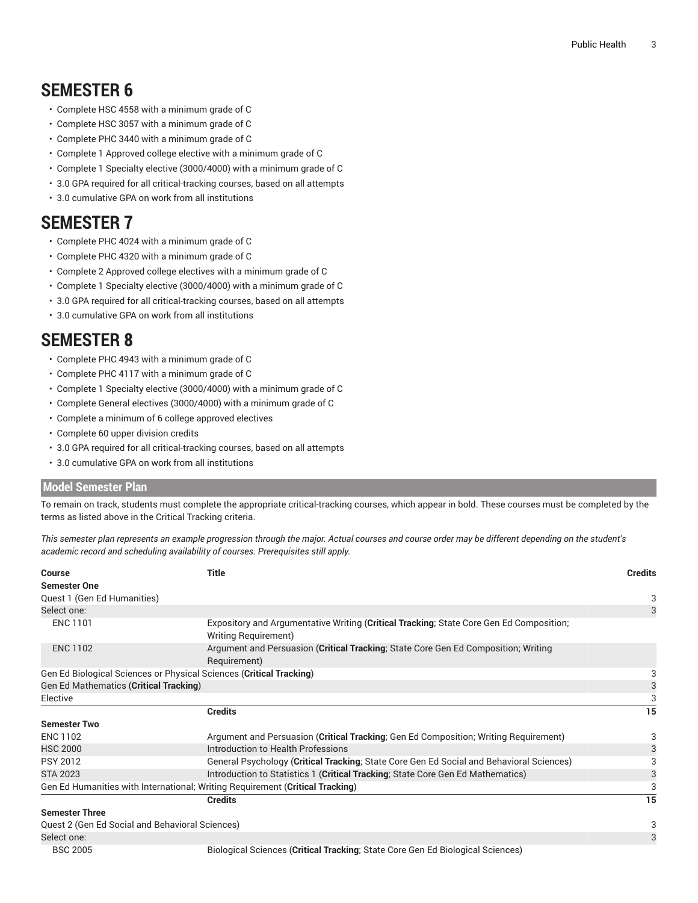# **SEMESTER 6**

- Complete HSC 4558 with a minimum grade of C
- Complete HSC 3057 with a minimum grade of C
- Complete PHC 3440 with a minimum grade of C
- Complete 1 Approved college elective with a minimum grade of C
- Complete 1 Specialty elective (3000/4000) with a minimum grade of C
- 3.0 GPA required for all critical-tracking courses, based on all attempts
- 3.0 cumulative GPA on work from all institutions

### **SEMESTER 7**

- Complete PHC 4024 with a minimum grade of C
- Complete PHC 4320 with a minimum grade of C
- Complete 2 Approved college electives with a minimum grade of C
- Complete 1 Specialty elective (3000/4000) with a minimum grade of C
- 3.0 GPA required for all critical-tracking courses, based on all attempts
- 3.0 cumulative GPA on work from all institutions

## **SEMESTER 8**

- Complete PHC 4943 with a minimum grade of C
- Complete PHC 4117 with a minimum grade of C
- Complete 1 Specialty elective (3000/4000) with a minimum grade of C
- Complete General electives (3000/4000) with a minimum grade of C
- Complete a minimum of 6 college approved electives
- Complete 60 upper division credits
- 3.0 GPA required for all critical-tracking courses, based on all attempts
- 3.0 cumulative GPA on work from all institutions

#### **Model Semester Plan**

To remain on track, students must complete the appropriate critical-tracking courses, which appear in bold. These courses must be completed by the terms as listed above in the Critical Tracking criteria.

This semester plan represents an example progression through the major. Actual courses and course order may be different depending on the student's *academic record and scheduling availability of courses. Prerequisites still apply.*

| <b>Title</b><br>Course                                                                                                |                                                                                                                         |    |  |  |
|-----------------------------------------------------------------------------------------------------------------------|-------------------------------------------------------------------------------------------------------------------------|----|--|--|
| <b>Semester One</b>                                                                                                   |                                                                                                                         |    |  |  |
| Quest 1 (Gen Ed Humanities)                                                                                           |                                                                                                                         | 3  |  |  |
| Select one:                                                                                                           |                                                                                                                         | 3  |  |  |
| <b>ENC 1101</b>                                                                                                       | Expository and Argumentative Writing (Critical Tracking; State Core Gen Ed Composition;<br><b>Writing Requirement</b> ) |    |  |  |
| Argument and Persuasion (Critical Tracking; State Core Gen Ed Composition; Writing<br><b>ENC 1102</b><br>Requirement) |                                                                                                                         |    |  |  |
| Gen Ed Biological Sciences or Physical Sciences (Critical Tracking)                                                   |                                                                                                                         | 3  |  |  |
| Gen Ed Mathematics (Critical Tracking)                                                                                |                                                                                                                         |    |  |  |
| Elective                                                                                                              |                                                                                                                         |    |  |  |
|                                                                                                                       | <b>Credits</b>                                                                                                          | 15 |  |  |
| <b>Semester Two</b>                                                                                                   |                                                                                                                         |    |  |  |
| <b>ENC 1102</b>                                                                                                       | Argument and Persuasion (Critical Tracking; Gen Ed Composition; Writing Requirement)                                    | 3  |  |  |
| <b>HSC 2000</b>                                                                                                       | Introduction to Health Professions                                                                                      |    |  |  |
| <b>PSY 2012</b>                                                                                                       | General Psychology (Critical Tracking; State Core Gen Ed Social and Behavioral Sciences)                                |    |  |  |
| <b>STA 2023</b><br>Introduction to Statistics 1 (Critical Tracking; State Core Gen Ed Mathematics)                    |                                                                                                                         |    |  |  |
|                                                                                                                       | Gen Ed Humanities with International; Writing Requirement (Critical Tracking)                                           |    |  |  |
|                                                                                                                       | <b>Credits</b>                                                                                                          | 15 |  |  |
| <b>Semester Three</b>                                                                                                 |                                                                                                                         |    |  |  |
| Quest 2 (Gen Ed Social and Behavioral Sciences)                                                                       |                                                                                                                         | 3  |  |  |
| Select one:                                                                                                           |                                                                                                                         | 3  |  |  |
| <b>BSC 2005</b>                                                                                                       | Biological Sciences (Critical Tracking; State Core Gen Ed Biological Sciences)                                          |    |  |  |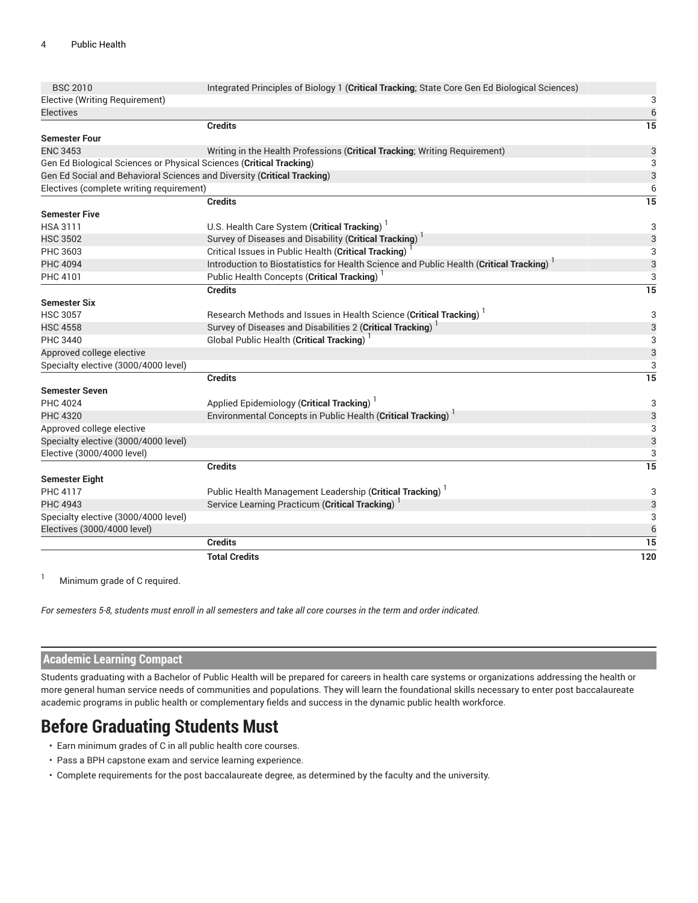| <b>BSC 2010</b>                                                         | Integrated Principles of Biology 1 (Critical Tracking; State Core Gen Ed Biological Sciences)       |                 |  |  |  |
|-------------------------------------------------------------------------|-----------------------------------------------------------------------------------------------------|-----------------|--|--|--|
| Elective (Writing Requirement)                                          |                                                                                                     |                 |  |  |  |
| <b>Electives</b>                                                        |                                                                                                     | 6               |  |  |  |
|                                                                         | <b>Credits</b>                                                                                      | 15              |  |  |  |
| <b>Semester Four</b>                                                    |                                                                                                     |                 |  |  |  |
| <b>ENC 3453</b>                                                         | Writing in the Health Professions (Critical Tracking; Writing Requirement)                          | 3               |  |  |  |
| Gen Ed Biological Sciences or Physical Sciences (Critical Tracking)     |                                                                                                     |                 |  |  |  |
| Gen Ed Social and Behavioral Sciences and Diversity (Critical Tracking) |                                                                                                     | 3               |  |  |  |
| Electives (complete writing requirement)                                |                                                                                                     | 6               |  |  |  |
|                                                                         | <b>Credits</b>                                                                                      | 15              |  |  |  |
| <b>Semester Five</b>                                                    |                                                                                                     |                 |  |  |  |
| <b>HSA 3111</b>                                                         | U.S. Health Care System (Critical Tracking)                                                         | 3               |  |  |  |
| <b>HSC 3502</b>                                                         | Survey of Diseases and Disability (Critical Tracking) <sup>1</sup>                                  | 3               |  |  |  |
| PHC 3603                                                                | Critical Issues in Public Health (Critical Tracking)                                                | 3               |  |  |  |
| <b>PHC 4094</b>                                                         | Introduction to Biostatistics for Health Science and Public Health (Critical Tracking) <sup>1</sup> | 3               |  |  |  |
| PHC 4101                                                                | Public Health Concepts (Critical Tracking) <sup>1</sup>                                             | 3               |  |  |  |
|                                                                         | <b>Credits</b>                                                                                      | $\overline{15}$ |  |  |  |
| <b>Semester Six</b>                                                     |                                                                                                     |                 |  |  |  |
| <b>HSC 3057</b>                                                         | Research Methods and Issues in Health Science (Critical Tracking)                                   | 3               |  |  |  |
| <b>HSC 4558</b>                                                         | Survey of Diseases and Disabilities 2 (Critical Tracking) <sup>1</sup>                              | 3               |  |  |  |
| <b>PHC 3440</b>                                                         | <b>Global Public Health (Critical Tracking)</b>                                                     | 3               |  |  |  |
| Approved college elective                                               |                                                                                                     | 3               |  |  |  |
| Specialty elective (3000/4000 level)                                    |                                                                                                     | 3               |  |  |  |
|                                                                         | <b>Credits</b>                                                                                      | 15              |  |  |  |
| <b>Semester Seven</b>                                                   |                                                                                                     |                 |  |  |  |
| <b>PHC 4024</b>                                                         | Applied Epidemiology (Critical Tracking)                                                            | 3               |  |  |  |
| PHC 4320                                                                | Environmental Concepts in Public Health (Critical Tracking)                                         | 3               |  |  |  |
| Approved college elective                                               |                                                                                                     | 3               |  |  |  |
| Specialty elective (3000/4000 level)                                    |                                                                                                     | 3               |  |  |  |
| Elective (3000/4000 level)                                              |                                                                                                     | 3               |  |  |  |
|                                                                         | <b>Credits</b>                                                                                      | $\overline{15}$ |  |  |  |
| <b>Semester Eight</b>                                                   |                                                                                                     |                 |  |  |  |
| <b>PHC 4117</b>                                                         | Public Health Management Leadership (Critical Tracking)                                             | 3               |  |  |  |
| <b>PHC 4943</b>                                                         | Service Learning Practicum (Critical Tracking) <sup>1</sup>                                         |                 |  |  |  |
| Specialty elective (3000/4000 level)                                    |                                                                                                     | 3               |  |  |  |
| Electives (3000/4000 level)                                             |                                                                                                     | 6               |  |  |  |
|                                                                         | <b>Credits</b>                                                                                      | 15              |  |  |  |
|                                                                         | <b>Total Credits</b>                                                                                | 120             |  |  |  |
|                                                                         |                                                                                                     |                 |  |  |  |

<sup>1</sup> Minimum grade of C required.

For semesters 5-8, students must enroll in all semesters and take all core courses in the term and order indicated.

#### **Academic Learning Compact**

Students graduating with a Bachelor of Public Health will be prepared for careers in health care systems or organizations addressing the health or more general human service needs of communities and populations. They will learn the foundational skills necessary to enter post baccalaureate academic programs in public health or complementary fields and success in the dynamic public health workforce.

### **Before Graduating Students Must**

- Earn minimum grades of C in all public health core courses.
- Pass a BPH capstone exam and service learning experience.
- Complete requirements for the post baccalaureate degree, as determined by the faculty and the university.